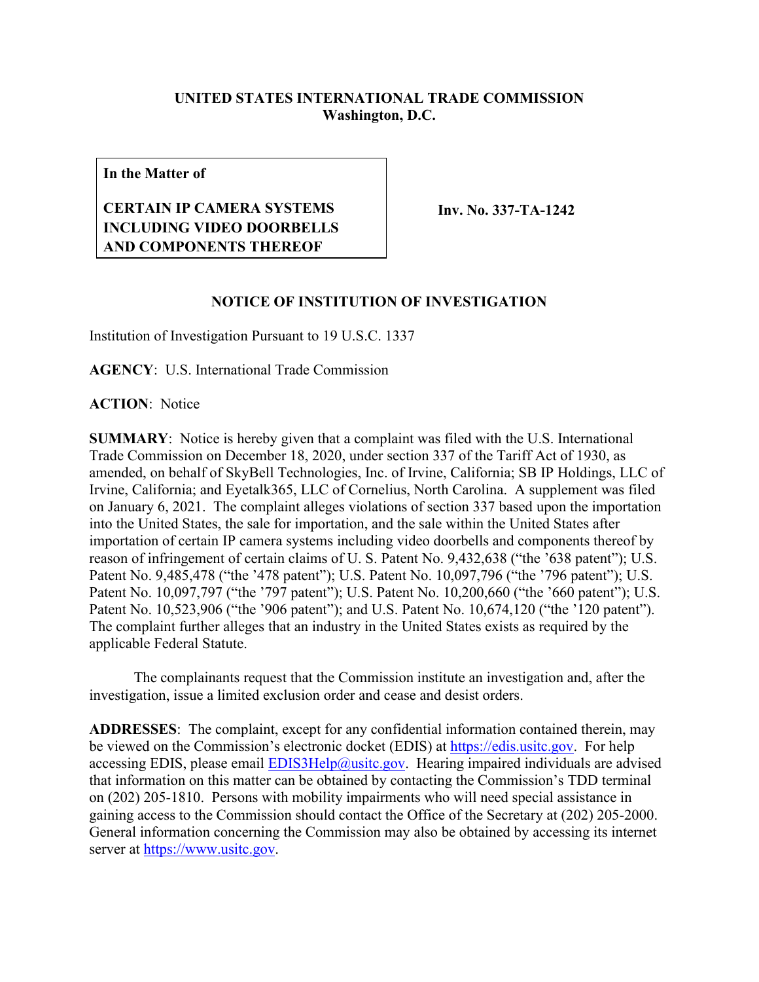## **UNITED STATES INTERNATIONAL TRADE COMMISSION Washington, D.C.**

**In the Matter of**

## **CERTAIN IP CAMERA SYSTEMS INCLUDING VIDEO DOORBELLS AND COMPONENTS THEREOF**

**Inv. No. 337-TA-1242**

## **NOTICE OF INSTITUTION OF INVESTIGATION**

Institution of Investigation Pursuant to 19 U.S.C. 1337

**AGENCY**: U.S. International Trade Commission

**ACTION**: Notice

**SUMMARY**: Notice is hereby given that a complaint was filed with the U.S. International Trade Commission on December 18, 2020, under section 337 of the Tariff Act of 1930, as amended, on behalf of SkyBell Technologies, Inc. of Irvine, California; SB IP Holdings, LLC of Irvine, California; and Eyetalk365, LLC of Cornelius, North Carolina. A supplement was filed on January 6, 2021. The complaint alleges violations of section 337 based upon the importation into the United States, the sale for importation, and the sale within the United States after importation of certain IP camera systems including video doorbells and components thereof by reason of infringement of certain claims of U. S. Patent No. 9,432,638 ("the '638 patent"); U.S. Patent No. 9,485,478 ("the '478 patent"); U.S. Patent No. 10,097,796 ("the '796 patent"); U.S. Patent No. 10,097,797 ("the '797 patent"); U.S. Patent No. 10,200,660 ("the '660 patent"); U.S. Patent No. 10,523,906 ("the '906 patent"); and U.S. Patent No. 10,674,120 ("the '120 patent"). The complaint further alleges that an industry in the United States exists as required by the applicable Federal Statute.

The complainants request that the Commission institute an investigation and, after the investigation, issue a limited exclusion order and cease and desist orders.

**ADDRESSES**: The complaint, except for any confidential information contained therein, may be viewed on the Commission's electronic docket (EDIS) at [https://edis.usitc.gov.](https://edis.usitc.gov/) For help accessing EDIS, please email [EDIS3Help@usitc.gov.](mailto:EDIS3Help@usitc.gov) Hearing impaired individuals are advised that information on this matter can be obtained by contacting the Commission's TDD terminal on (202) 205-1810. Persons with mobility impairments who will need special assistance in gaining access to the Commission should contact the Office of the Secretary at (202) 205-2000. General information concerning the Commission may also be obtained by accessing its internet server at [https://www.usitc.gov.](https://www.usitc.gov/)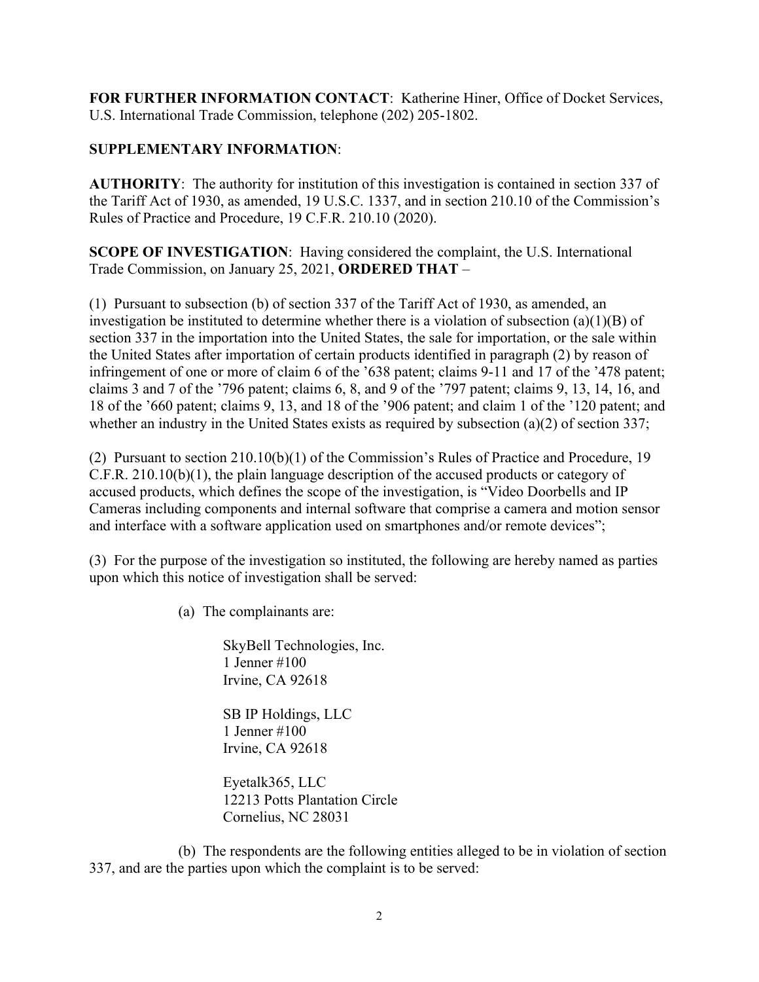**FOR FURTHER INFORMATION CONTACT**: Katherine Hiner, Office of Docket Services, U.S. International Trade Commission, telephone (202) 205-1802.

## **SUPPLEMENTARY INFORMATION**:

**AUTHORITY**: The authority for institution of this investigation is contained in section 337 of the Tariff Act of 1930, as amended, 19 U.S.C. 1337, and in section 210.10 of the Commission's Rules of Practice and Procedure, 19 C.F.R. 210.10 (2020).

**SCOPE OF INVESTIGATION**: Having considered the complaint, the U.S. International Trade Commission, on January 25, 2021, **ORDERED THAT** –

(1) Pursuant to subsection (b) of section 337 of the Tariff Act of 1930, as amended, an investigation be instituted to determine whether there is a violation of subsection (a)(1)(B) of section 337 in the importation into the United States, the sale for importation, or the sale within the United States after importation of certain products identified in paragraph (2) by reason of infringement of one or more of claim 6 of the '638 patent; claims 9-11 and 17 of the '478 patent; claims 3 and 7 of the '796 patent; claims 6, 8, and 9 of the '797 patent; claims 9, 13, 14, 16, and 18 of the '660 patent; claims 9, 13, and 18 of the '906 patent; and claim 1 of the '120 patent; and whether an industry in the United States exists as required by subsection (a)(2) of section 337;

(2) Pursuant to section 210.10(b)(1) of the Commission's Rules of Practice and Procedure, 19 C.F.R. 210.10(b)(1), the plain language description of the accused products or category of accused products, which defines the scope of the investigation, is "Video Doorbells and IP Cameras including components and internal software that comprise a camera and motion sensor and interface with a software application used on smartphones and/or remote devices";

(3) For the purpose of the investigation so instituted, the following are hereby named as parties upon which this notice of investigation shall be served:

(a) The complainants are:

SkyBell Technologies, Inc. 1 Jenner #100 Irvine, CA 92618

SB IP Holdings, LLC 1 Jenner #100 Irvine, CA 92618

Eyetalk365, LLC 12213 Potts Plantation Circle Cornelius, NC 28031

(b) The respondents are the following entities alleged to be in violation of section 337, and are the parties upon which the complaint is to be served: